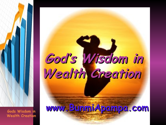# **God's Wisdom in Wealth Creation**

**www.BunmiApampa.com**

ww.Bapampa.com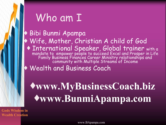## Who am I

### ♦ Bibi Bunmi Apampa

- ♦ Wife, Mother, Christian A child of God
	- ♦ International Speaker, Global trainer with a mandate to empower people to succeed Excel and Prosper in Life Family Business Finances Career Ministry relationships and community with Multiple Streams of Income
- ♦ Wealth and Business Coach

## ♦**www.MyBusinessCoach.biz** ♦**www.BunmiApampa.com**

**Gods Wisdom in Wealth Creation**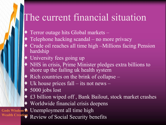## The current financial situation

- ♦ Terror outage hits Global markets
	- Telephone hacking scandal no more privacy
	- Crude oil reaches all time high –Millions facing Pension hardship
- University fees going up
- ♦ NHS in crisis, Prime Minister pledges extra billions to shore up the failing uk health system
- $\bullet$  Rich countries on the brink of collapse –
- Uk house prices fall its not news –
- 5000 jobs lost
- £3 billion wiped off, Bank Bailout, stock market crashes
- ♦ Worldwide financial crisis deepens

**Wealth Creation**

Gods Wisdom in Unemployment all time high

Review of Social Security benefits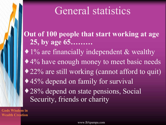### General statistics

**Out of 100 people that start working at age 25, by age 65………** 

• 1% are financially independent & wealthy

♦ 4% have enough money to meet basic needs

♦ 22% are still working (cannot afford to quit)

♦ 45% depend on family for survival

♦ 28% depend on state pensions, Social Security, friends or charity

**Gods Wisdom in Wealth Creation**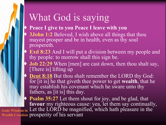### What God is saying

- **Peace I give to you Peace I leave with you**
- ♦ **[3John 1:2](http://www.blueletterbible.org/Bible.cfm?b=3Jo&c=1&t=KJV)** Beloved, I wish above all things that thou mayest prosper and be in health, even as thy soul prospereth.
- ♦ **[Exd 8:23](http://www.blueletterbible.org/Bible.cfm?b=Exd&c=8&v=23&t=KJV)** And I will put a division between my people and thy people: to morrow shall this sign be.
- ♦ **[Job 22:29](http://www.blueletterbible.org/Bible.cfm?b=Job&c=22&t=KJV)** When [men] are cast down, then thou shalt say, [There is] lifting up
- **Deut 8:18** But thou shalt remember the LORD thy God: for [it is] he that giveth thee power to get **wealth**, that he may establish his covenant which he sware unto thy fathers, as [it is] this day.

**Psalm 35:27** Let them shout for joy, and be glad, that **favour** my righteous cause: yea, let them say continually, Gods Wisdom in Let the LORD be magnified, which hath pleasure in the Wealth Creation prosperity of his servant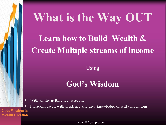# **What is the Way OUT**

### **Learn how to Build Wealth & Create Multiple streams of income**

Using

### **God's Wisdom**

With all thy getting Get wisdom

I wisdom dwell with prudence and give knowledge of witty inventions **Gods Wisdom in Wealth Creation**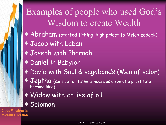### Examples of people who used God's Wisdom to create Wealth

- ♦ Abraham (started tithing high priest to Melchizedeck)
- ♦ Jacob with Laban
- ♦ Joseph with Pharaoh
- ♦ Daniel in Babylon
- ♦ David with Saul & vagabonds (Men of valor)
- ♦ Jeptha (sent out of fathers house as a son of a prostitute became king)
- ♦ Widow with cruise of oil
- ♦ Solomon

**Gods Wisdom in Wealth Creation**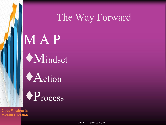### The Way Forward

# M A P ♦Mindset

♦Action

♦Process

**Gods Wisdom in Wealth Creation**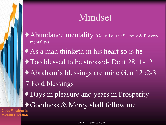### Mindset

- ♦ Abundance mentality (Get rid of the Scarcity & Poverty mentality)
- ♦ As a man thinketh in his heart so is he
- ♦ Too blessed to be stressed- Deut 28 :1-12
- ♦ Abraham's blessings are mine Gen 12 :2-3
- 7 Fold blessings
- ♦ Days in pleasure and years in Prosperity
- ♦ Goodness & Mercy shall follow me

**Gods Wisdom in Wealth Creation**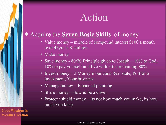### Action

#### Acquire the **Seven Basic Skills** of money

- Value money miracle of compound interest \$100 a month over 45yrs is \$1million
- Make money
- Save money 80/20 Principle given to Joseph 10% to God, 10% to pay yourself and live within the remaining 80%
- Invest money 3 Money mountains Real state, Portfolio investment, Your business
- Manage money Financial planning
- Share money Sow & be a Giver
- Protect / shield money its not how much you make, its how much you keep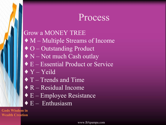### Process

#### Grow a MONEY TREE

- ♦ M Multiple Streams of Income
- ♦ O Outstanding Product
- $\blacklozenge$  N Not much Cash outlay
- ♦ E Essential Product or Service
- $\blacklozenge$  Y Yeild
- $\blacklozenge$  T Trends and Time
- ♦ R Residual Income
- $\triangle$  E Employee Resistance
- $\triangle$  E Enthusiasm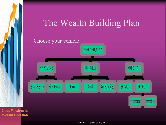### The Wealth Building Plan

#### Choose your vehicle

Stocks & Shares Fixed Deposits

**NVESTMENTS** 

**Gods Wisdom in Wealth Creation**

www.BApampa.com

Home Rental Buy, Build & Sel

SERVICE

Infopreneur commoditie

PRODUCT

MARKETING

REAL ESTATE

**MONEY MOUNTAIN**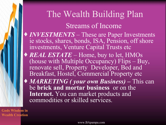### The Wealth Building Plan

Streams of Income

- ♦ *INVESTMENTS* These are Paper Investments ie stocks, shares, bonds, ISA, Pension, off shore investments, Venture Capital Trusts etc
- ◆ *REAL ESTATE* Home, buy to let, HMOs (house with Multiple Occupancy) Flips – Buy, renovate sell, Property Developer, Bed and Breakfast, Hostel, Commercial Property etc
- ♦ *MARKETING ( your own Business)* This can be **brick and mortar business** or on the **Internet.** You can market products and commodities or skilled services.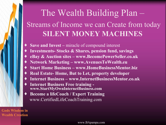### The Wealth Building Plan – Streams of Income we can Create from today **SILENT MONEY MACHINES**

- **Save and Invest** miracle of compound interest
- Investments- Stocks & Shares, pension fund, savings
- ♦ **eBay & Auction sites www.BecomePowerSeller.co.uk**
- ♦ **Network Marketing www.AvenuesToWealth.eu**
- ♦ **Start Home Business www.HomeBusinessMentor.biz**
- **Real Estate- Home, But to Let, property developer**
- ♦ **Internet Business www.InternetBusinessMentor.co.uk**
- ♦ **Internet Business Free training www.StartMyOwnInternetBusiness.com**
- ♦ **Become a lifeCoach / Expert Training** www.CertifiedLifeCoachTraining.com

**Gods Wisdom in Wealth Creation**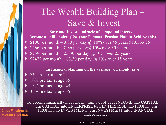### The Wealth Building Plan – Save & Invest

**Save and Invest – miracle of compound interest. Become a millionaire (Use your Personal Pension Plan to Achieve this)**

- \$100 per month 3.30 per day @ 10% over 45 years \$1,033,625
- \$266 per month 8.86 per day@ 10% over 30 years
- \$759 per month  $-25.30$  per day  $\omega$  10% over 25 years
- \$2422 per month 83.30 per day  $\omega$  10% over 15 years

#### **In financial planning on the average you should save**

- $7\%$  pre tax at age 25
- $10\%$  pre tax at age 35
- $18\%$  pre tax at age 45
- $35\%$  pre tax at age  $55$

To become financially independent, turn part of your INCOME into CAPITAL turn CAPITAL into ENTERPRISE turn ENTERPRISE into PROFIT turn PROFIT into INVESTMENT turn INVESTMENT into FINANCIAL Independence

www.BApampa.com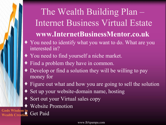### The Wealth Building Plan – Internet Business Virtual Estate **www.InternetBusinessMentor.co.uk**

- ♦ You need to identify what you want to do. What are you interested in?
- ♦ You need to find yourself a niche market.
- ♦ Find a problem they have in common.
- ♦ Develop or find a solution they will be willing to pay money for
- ♦ Figure out what and how you are going to sell the solution
- ♦ Set up your website-domain name, hosting
- Sort out your Virtual sales copy
- **East Mission in Website Promotion**

Gods Wisdo<mark>m in</mark><br>Wealth Creation Get Paid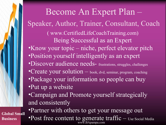Become An Expert Plan – Speaker, Author, Trainer, Consultant, Coach ( www.CertifiedLifeCoachTraining.com) Being Successful as an Expert •Know your topic – niche, perfect elevator pitch •Position yourself intelligently as an expert •Discover audience needs- frustrations, struggles, challenges •Create your solution – book, dvd, seminar, program, coaching •Package your information so people can buy •Put up a website •Campaign and Promote yourself strategically and consistently •Partner with others to get your message out

**Global Small Business**

www.BApampa.com •Post free content to generate traffic – Use Social Media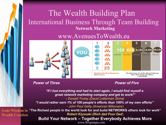### The Wealth Building Plan International Business Through Team Building **Network Marketing**

#### www.AvenuesToWealth.eu





#### **Power of Three Power of Five**

*"If I lost everything and had to start again, I would find myself a great network marketing company and get to work!" - Donald Trump (David Letterman Show) "I would rather earn 1% of 100 people's efforts than 100% of my own efforts" - John Paul Getty (American Billionaire*)

 $\bf{Gods}$  Wisdom in "The Richest people in the world look for and build NETWORKS others look for work" *Robert Kiyosaki (Rich dad Poor Dad*) **Wealth Creation**

www.BApampa.com **Build Your Network – Together Everybody Achieves More**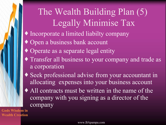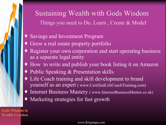### Sustaining Wealth with Gods Wisdom Things you need to Do, Learn , Create & Model

- ♦ Savings and Investment Program
- ♦ Grow a real estate property portfolio
- ♦ Register your own corporation and start operating business as a separate legal entity
- ♦ How to write and publish your book listing it on Amazon
- ♦ Public Speaking & Presentation skills
- Life Coach training and skill development to brand yourself as an expert ( www.CertifiedLifeCoachTraining.com)
- Internet Business Mastery ( www.InternetBusinessMentor.co.uk)
- Marketing strategies for fast growth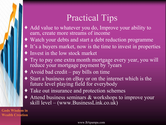### Practical Tips

- ♦ Add value to whatever you do, Improve your ability to earn, create more streams of income
- ♦ Watch your debts and start a debt reduction programme
- ♦ It's a buyers market, now is the time to invest in properties
- ♦ Invest in the low stock market
- ♦ Try to pay one extra month mortgage every year, you will reduce your mortgage payment by 7years
- $\triangle$  Avoid bad credit pay bills on time
- ♦ Start a business on eBay or on the internet which is the future level playing field for everybody
- ♦ Take out insurance and protection schemes
- ♦ Attend business seminars & workshops to improve your skill level – (www.BusinessLink.co.uk)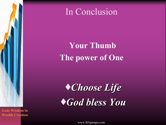

### **Your Thumb The power of One**

**Gods Wisdom in Wealth Creation**

♦*Choose Life* ♦*God bless You*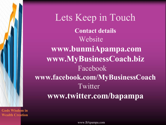

**Gods Wisdom in Wealth Creation**